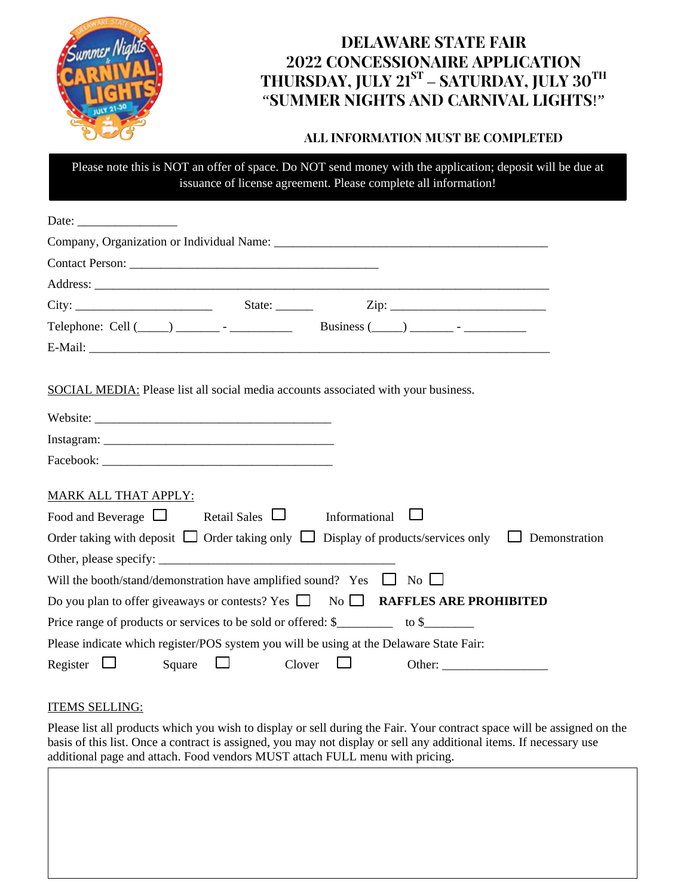

# Delaware State Fair 2022 Concessionaire Application THURSDAY, JULY  $21^{ST}$  – SATURDAY, JULY  $30^{TH}$ "Summer nights and carnival lights!"

## All information must be completed

Please note this is NOT an offer of space. Do NOT send money with the application; deposit will be due at issuance of license agreement. Please complete all information!

| Date: $\frac{1}{\sqrt{1-\frac{1}{2}} \cdot \frac{1}{2}}$                                                         |
|------------------------------------------------------------------------------------------------------------------|
|                                                                                                                  |
|                                                                                                                  |
|                                                                                                                  |
|                                                                                                                  |
|                                                                                                                  |
|                                                                                                                  |
| SOCIAL MEDIA: Please list all social media accounts associated with your business.                               |
|                                                                                                                  |
|                                                                                                                  |
|                                                                                                                  |
| MARK ALL THAT APPLY:                                                                                             |
| Food and Beverage $\Box$ Retail Sales $\Box$ Informational                                                       |
| Order taking with deposit $\Box$ Order taking only $\Box$ Display of products/services only $\Box$ Demonstration |
|                                                                                                                  |
| Will the booth/stand/demonstration have amplified sound? Yes $\Box$ No $\Box$                                    |
| Do you plan to offer give aways or contests? Yes $\Box$ No $\Box$ <b>RAFFLES ARE PROHIBITED</b>                  |
|                                                                                                                  |
| Please indicate which register/POS system you will be using at the Delaware State Fair:                          |
| Register $\Box$<br>Square $\Box$<br>Clover $\Box$                                                                |

#### ITEMS SELLING:

Please list all products which you wish to display or sell during the Fair. Your contract space will be assigned on the basis of this list. Once a contract is assigned, you may not display or sell any additional items. If necessary use additional page and attach. Food vendors MUST attach FULL menu with pricing.